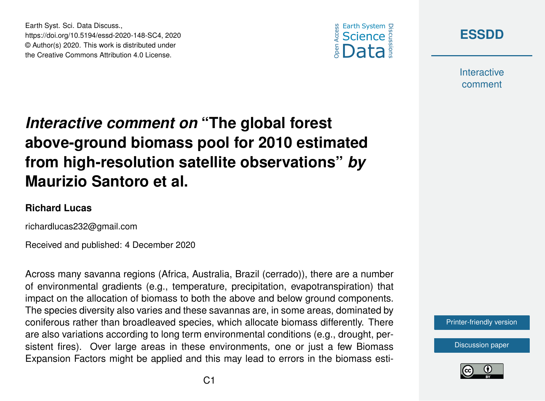



**Interactive** comment

## *Interactive comment on* **"The global forest above-ground biomass pool for 2010 estimated from high-resolution satellite observations"** *by* **Maurizio Santoro et al.**

## **Richard Lucas**

richardlucas232@gmail.com

Earth Syst. Sci. Data Discuss.,

https://doi.org/10.5194/essd-2020-148-SC4, 2020 © Author(s) 2020. This work is distributed under the Creative Commons Attribution 4.0 License.

Received and published: 4 December 2020

Across many savanna regions (Africa, Australia, Brazil (cerrado)), there are a number of environmental gradients (e.g., temperature, precipitation, evapotranspiration) that impact on the allocation of biomass to both the above and below ground components. The species diversity also varies and these savannas are, in some areas, dominated by coniferous rather than broadleaved species, which allocate biomass differently. There are also variations according to long term environmental conditions (e.g., drought, persistent fires). Over large areas in these environments, one or just a few Biomass Expansion Factors might be applied and this may lead to errors in the biomass esti-

[Printer-friendly version](https://essd.copernicus.org/preprints/essd-2020-148/essd-2020-148-SC4-print.pdf)

[Discussion paper](https://essd.copernicus.org/preprints/essd-2020-148)